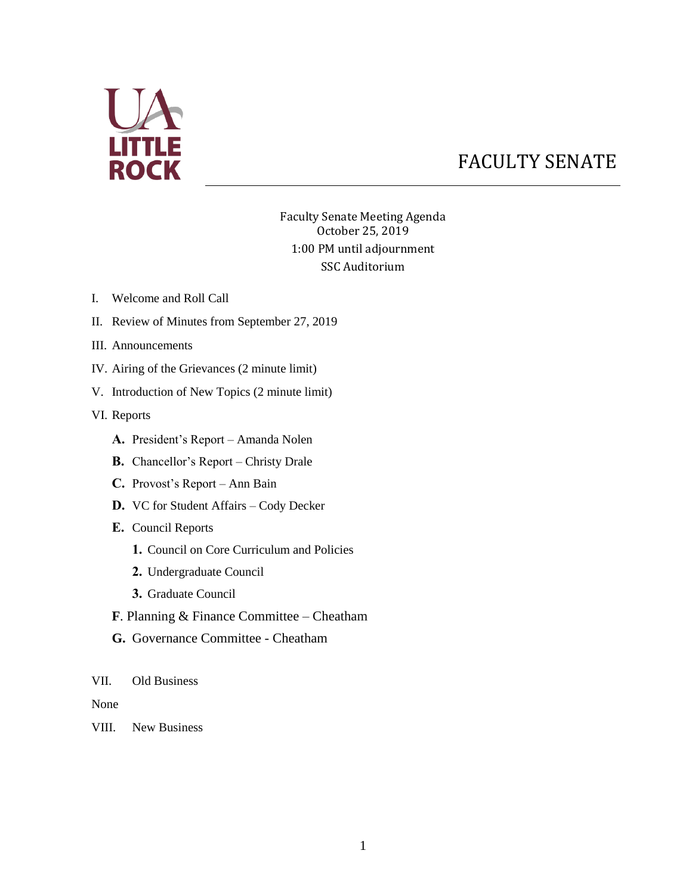

# FACULTY SENATE

Faculty Senate Meeting Agenda October 25, 2019 1:00 PM until adjournment SSC Auditorium

- I. Welcome and Roll Call
- II. Review of Minutes from September 27, 2019
- III. Announcements
- IV. Airing of the Grievances (2 minute limit)
- V. Introduction of New Topics (2 minute limit)

VI. Reports

- **A.** President's Report Amanda Nolen
- **B.** Chancellor's Report Christy Drale
- **C.** Provost's Report Ann Bain
- **D.** VC for Student Affairs Cody Decker
- **E.** Council Reports
	- **1.** Council on Core Curriculum and Policies
	- **2.** Undergraduate Council
	- **3.** Graduate Council
- **F**. Planning & Finance Committee Cheatham
- **G.** Governance Committee Cheatham

#### VII. Old Business

None

VIII. New Business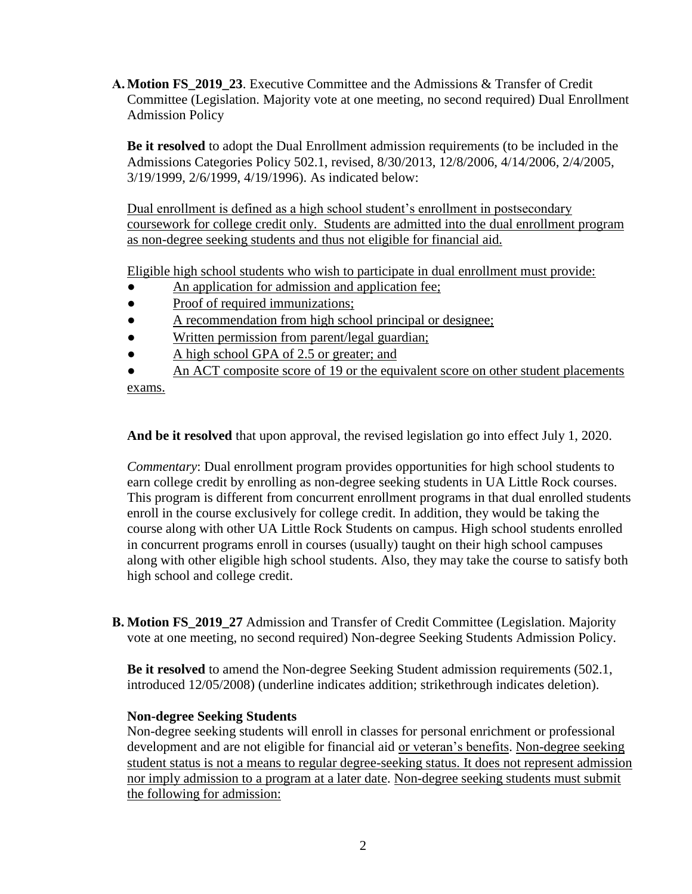**A. Motion FS\_2019\_23**. Executive Committee and the Admissions & Transfer of Credit Committee (Legislation. Majority vote at one meeting, no second required) Dual Enrollment Admission Policy

**Be it resolved** to adopt the Dual Enrollment admission requirements (to be included in the Admissions Categories Policy 502.1, revised, 8/30/2013, 12/8/2006, 4/14/2006, 2/4/2005, 3/19/1999, 2/6/1999, 4/19/1996). As indicated below:

Dual enrollment is defined as a high school student's enrollment in postsecondary coursework for college credit only. Students are admitted into the dual enrollment program as non-degree seeking students and thus not eligible for financial aid.

Eligible high school students who wish to participate in dual enrollment must provide:

- An application for admission and application fee;
- Proof of required immunizations;
- A recommendation from high school principal or designee;
- Written permission from parent/legal guardian;
- A high school GPA of 2.5 or greater; and
- An ACT composite score of 19 or the equivalent score on other student placements

exams.

**And be it resolved** that upon approval, the revised legislation go into effect July 1, 2020.

*Commentary*: Dual enrollment program provides opportunities for high school students to earn college credit by enrolling as non-degree seeking students in UA Little Rock courses. This program is different from concurrent enrollment programs in that dual enrolled students enroll in the course exclusively for college credit. In addition, they would be taking the course along with other UA Little Rock Students on campus. High school students enrolled in concurrent programs enroll in courses (usually) taught on their high school campuses along with other eligible high school students. Also, they may take the course to satisfy both high school and college credit.

**B. Motion FS\_2019\_27** Admission and Transfer of Credit Committee (Legislation. Majority vote at one meeting, no second required) Non-degree Seeking Students Admission Policy.

**Be it resolved** to amend the Non-degree Seeking Student admission requirements (502.1, introduced 12/05/2008) (underline indicates addition; strikethrough indicates deletion).

### **Non-degree Seeking Students**

Non-degree seeking students will enroll in classes for personal enrichment or professional development and are not eligible for financial aid or veteran's benefits. Non-degree seeking student status is not a means to regular degree-seeking status. It does not represent admission nor imply admission to a program at a later date. Non-degree seeking students must submit the following for admission: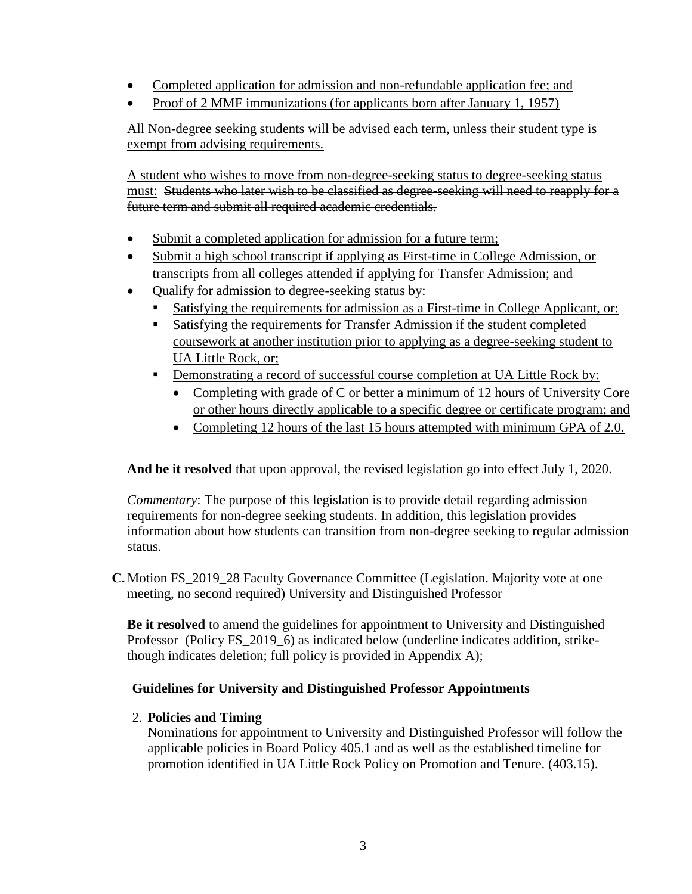- Completed application for admission and non-refundable application fee; and
- Proof of 2 MMF immunizations (for applicants born after January 1, 1957)

All Non-degree seeking students will be advised each term, unless their student type is exempt from advising requirements.

A student who wishes to move from non-degree-seeking status to degree-seeking status must: Students who later wish to be classified as degree-seeking will need to reapply for a future term and submit all required academic credentials.

- Submit a completed application for admission for a future term;
- Submit a high school transcript if applying as First-time in College Admission, or transcripts from all colleges attended if applying for Transfer Admission; and
- Qualify for admission to degree-seeking status by:
	- Satisfying the requirements for admission as a First-time in College Applicant, or:
	- **Satisfying the requirements for Transfer Admission if the student completed** coursework at another institution prior to applying as a degree-seeking student to UA Little Rock, or;
	- Demonstrating a record of successful course completion at UA Little Rock by:
		- Completing with grade of C or better a minimum of 12 hours of University Core or other hours directly applicable to a specific degree or certificate program; and
		- Completing 12 hours of the last 15 hours attempted with minimum GPA of 2.0.

**And be it resolved** that upon approval, the revised legislation go into effect July 1, 2020.

*Commentary*: The purpose of this legislation is to provide detail regarding admission requirements for non-degree seeking students. In addition, this legislation provides information about how students can transition from non-degree seeking to regular admission status.

**C.** Motion FS 2019 28 Faculty Governance Committee (Legislation. Majority vote at one meeting, no second required) University and Distinguished Professor

**Be it resolved** to amend the guidelines for appointment to University and Distinguished Professor (Policy FS 2019 6) as indicated below (underline indicates addition, strikethough indicates deletion; full policy is provided in Appendix A);

## **Guidelines for University and Distinguished Professor Appointments**

## 2. **Policies and Timing**

Nominations for appointment to University and Distinguished Professor will follow the applicable policies in Board Policy 405.1 and as well as the established timeline for promotion identified in UA Little Rock Policy on Promotion and Tenure. (403.15).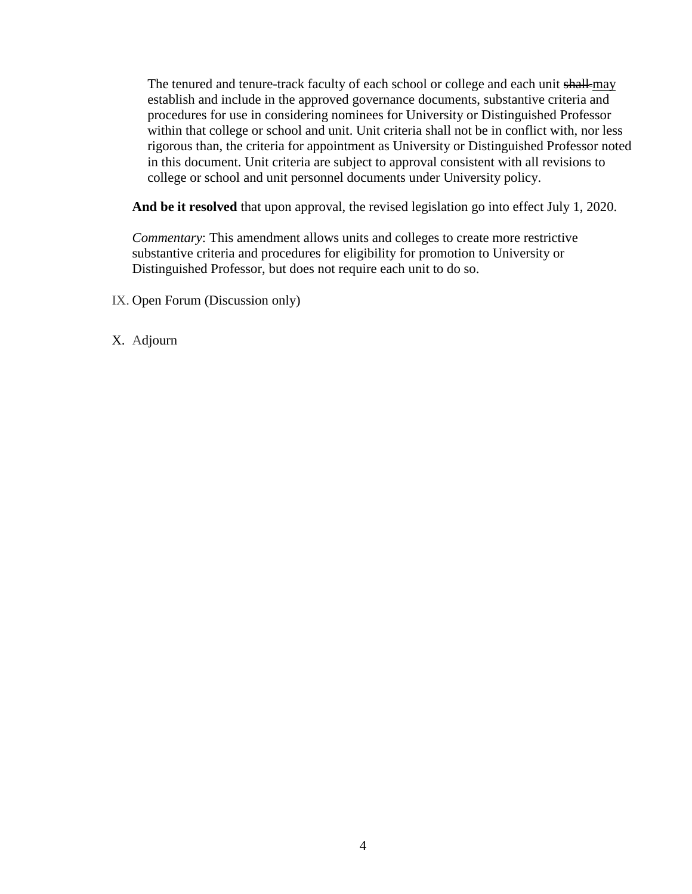The tenured and tenure-track faculty of each school or college and each unit shall-may establish and include in the approved governance documents, substantive criteria and procedures for use in considering nominees for University or Distinguished Professor within that college or school and unit. Unit criteria shall not be in conflict with, nor less rigorous than, the criteria for appointment as University or Distinguished Professor noted in this document. Unit criteria are subject to approval consistent with all revisions to college or school and unit personnel documents under University policy.

**And be it resolved** that upon approval, the revised legislation go into effect July 1, 2020.

*Commentary*: This amendment allows units and colleges to create more restrictive substantive criteria and procedures for eligibility for promotion to University or Distinguished Professor, but does not require each unit to do so.

IX. Open Forum (Discussion only)

X. Adjourn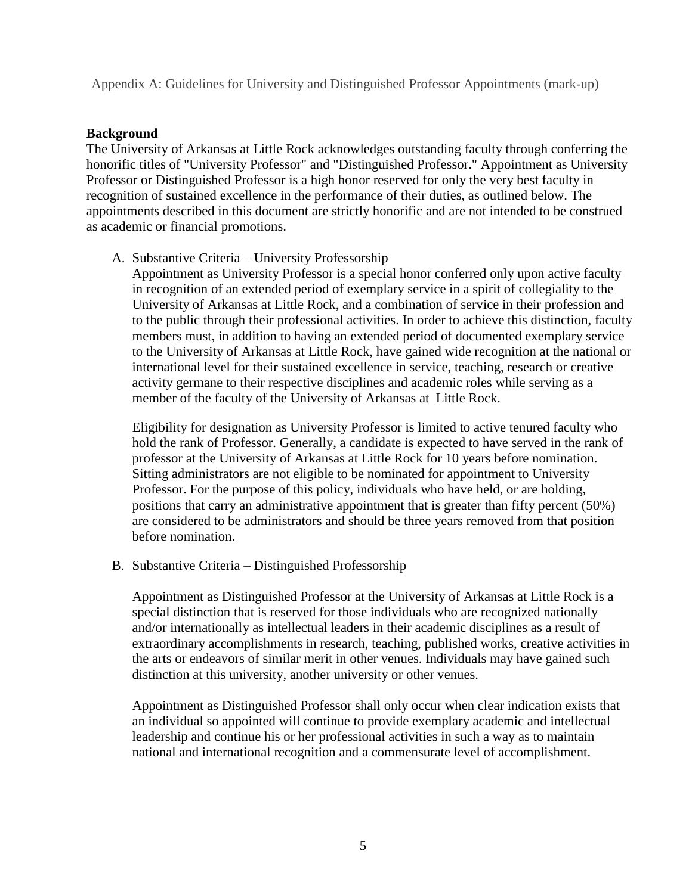Appendix A: Guidelines for University and Distinguished Professor Appointments (mark-up)

#### **Background**

The University of Arkansas at Little Rock acknowledges outstanding faculty through conferring the honorific titles of "University Professor" and "Distinguished Professor." Appointment as University Professor or Distinguished Professor is a high honor reserved for only the very best faculty in recognition of sustained excellence in the performance of their duties, as outlined below. The appointments described in this document are strictly honorific and are not intended to be construed as academic or financial promotions.

A. Substantive Criteria – University Professorship

Appointment as University Professor is a special honor conferred only upon active faculty in recognition of an extended period of exemplary service in a spirit of collegiality to the University of Arkansas at Little Rock, and a combination of service in their profession and to the public through their professional activities. In order to achieve this distinction, faculty members must, in addition to having an extended period of documented exemplary service to the University of Arkansas at Little Rock, have gained wide recognition at the national or international level for their sustained excellence in service, teaching, research or creative activity germane to their respective disciplines and academic roles while serving as a member of the faculty of the University of Arkansas at Little Rock.

Eligibility for designation as University Professor is limited to active tenured faculty who hold the rank of Professor. Generally, a candidate is expected to have served in the rank of professor at the University of Arkansas at Little Rock for 10 years before nomination. Sitting administrators are not eligible to be nominated for appointment to University Professor. For the purpose of this policy, individuals who have held, or are holding, positions that carry an administrative appointment that is greater than fifty percent (50%) are considered to be administrators and should be three years removed from that position before nomination.

B. Substantive Criteria – Distinguished Professorship

Appointment as Distinguished Professor at the University of Arkansas at Little Rock is a special distinction that is reserved for those individuals who are recognized nationally and/or internationally as intellectual leaders in their academic disciplines as a result of extraordinary accomplishments in research, teaching, published works, creative activities in the arts or endeavors of similar merit in other venues. Individuals may have gained such distinction at this university, another university or other venues.

Appointment as Distinguished Professor shall only occur when clear indication exists that an individual so appointed will continue to provide exemplary academic and intellectual leadership and continue his or her professional activities in such a way as to maintain national and international recognition and a commensurate level of accomplishment.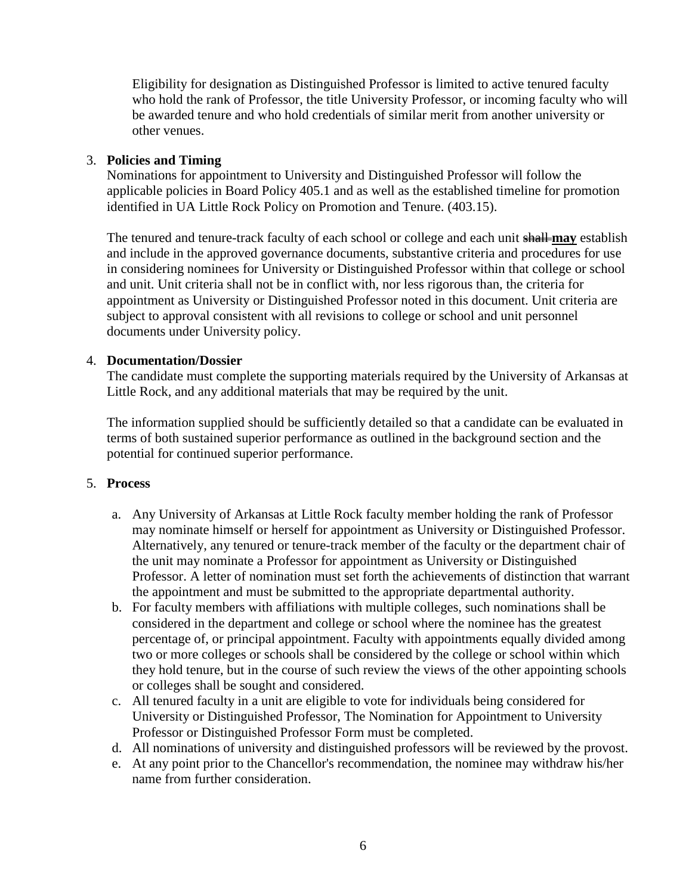Eligibility for designation as Distinguished Professor is limited to active tenured faculty who hold the rank of Professor, the title University Professor, or incoming faculty who will be awarded tenure and who hold credentials of similar merit from another university or other venues.

## 3. **Policies and Timing**

Nominations for appointment to University and Distinguished Professor will follow the applicable policies in Board Policy 405.1 and as well as the established timeline for promotion identified in UA Little Rock Policy on Promotion and Tenure. (403.15).

The tenured and tenure-track faculty of each school or college and each unit shall **may** establish and include in the approved governance documents, substantive criteria and procedures for use in considering nominees for University or Distinguished Professor within that college or school and unit. Unit criteria shall not be in conflict with, nor less rigorous than, the criteria for appointment as University or Distinguished Professor noted in this document. Unit criteria are subject to approval consistent with all revisions to college or school and unit personnel documents under University policy.

## 4. **Documentation/Dossier**

The candidate must complete the supporting materials required by the University of Arkansas at Little Rock, and any additional materials that may be required by the unit.

The information supplied should be sufficiently detailed so that a candidate can be evaluated in terms of both sustained superior performance as outlined in the background section and the potential for continued superior performance.

### 5. **Process**

- a. Any University of Arkansas at Little Rock faculty member holding the rank of Professor may nominate himself or herself for appointment as University or Distinguished Professor. Alternatively, any tenured or tenure-track member of the faculty or the department chair of the unit may nominate a Professor for appointment as University or Distinguished Professor. A letter of nomination must set forth the achievements of distinction that warrant the appointment and must be submitted to the appropriate departmental authority.
- b. For faculty members with affiliations with multiple colleges, such nominations shall be considered in the department and college or school where the nominee has the greatest percentage of, or principal appointment. Faculty with appointments equally divided among two or more colleges or schools shall be considered by the college or school within which they hold tenure, but in the course of such review the views of the other appointing schools or colleges shall be sought and considered.
- c. All tenured faculty in a unit are eligible to vote for individuals being considered for University or Distinguished Professor, The Nomination for Appointment to University Professor or Distinguished Professor Form must be completed.
- d. All nominations of university and distinguished professors will be reviewed by the provost.
- e. At any point prior to the Chancellor's recommendation, the nominee may withdraw his/her name from further consideration.